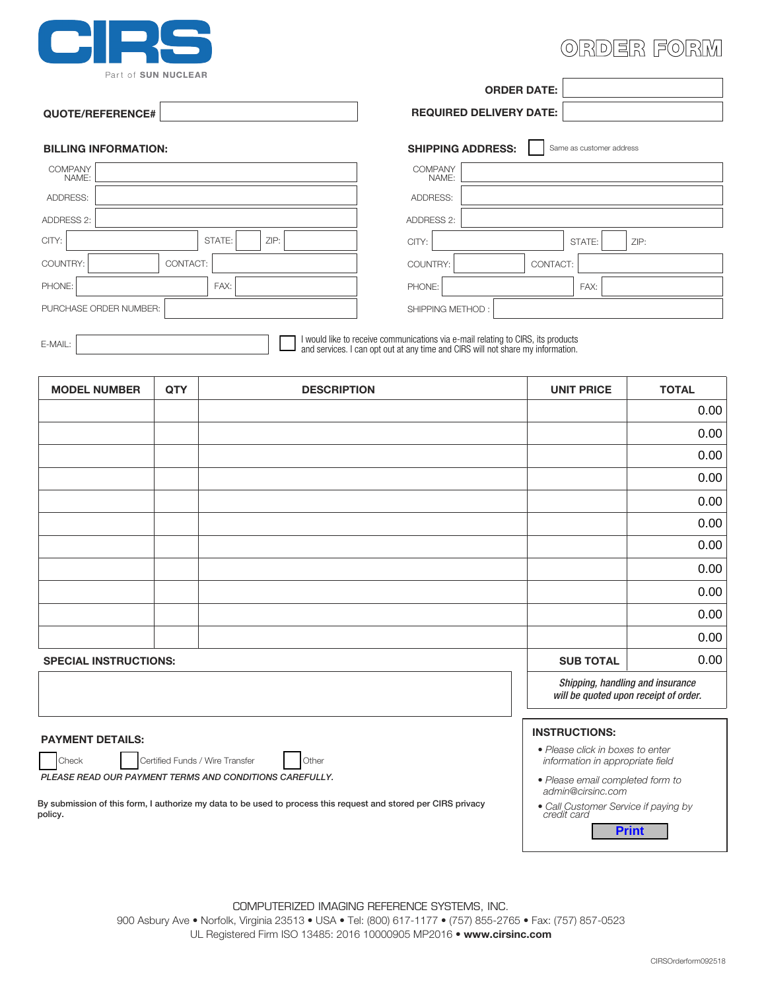

# ORDER FORM

|                             | <b>ORDER DATE:</b>                                   |
|-----------------------------|------------------------------------------------------|
| QUOTE/REFERENCE#            | <b>REQUIRED DELIVERY DATE:</b>                       |
| <b>BILLING INFORMATION:</b> | <b>SHIPPING ADDRESS:</b><br>Same as customer address |
| COMPANY<br>NAME:            | COMPANY<br>NAME:                                     |
| ADDRESS:                    | ADDRESS:                                             |
| ADDRESS 2:                  | ADDRESS 2:                                           |
| CITY:<br>ZIP:<br>STATE:     | CITY:<br>ZIP:<br>STATE:                              |
| COUNTRY:<br>CONTACT:        | COUNTRY:<br>CONTACT:                                 |
| PHONE:<br>FAX:              | PHONE:<br>FAX:                                       |
| PURCHASE ORDER NUMBER:      | SHIPPING METHOD:                                     |
|                             |                                                      |

I would like to receive communications via e-mail relating to CIRS, its products E-MAIL: EMAIL: ENTRET SERVICES. I CAN OUT A CHARGE OF SERVICES. I CAN OUT AND THE SERVICES. I CAN OUT AND THE SHARE MY INFORMATION.

| <b>MODEL NUMBER</b>          | QTY | <b>DESCRIPTION</b> | <b>UNIT PRICE</b>                                                         | <b>TOTAL</b> |
|------------------------------|-----|--------------------|---------------------------------------------------------------------------|--------------|
|                              |     |                    |                                                                           | 0.00         |
|                              |     |                    |                                                                           | 0.00         |
|                              |     |                    |                                                                           | 0.00         |
|                              |     |                    |                                                                           | 0.00         |
|                              |     |                    |                                                                           | 0.00         |
|                              |     |                    |                                                                           | 0.00         |
|                              |     |                    |                                                                           | 0.00         |
|                              |     |                    |                                                                           | 0.00         |
|                              |     |                    |                                                                           | 0.00         |
|                              |     |                    |                                                                           | 0.00         |
|                              |     |                    |                                                                           | 0.00         |
| <b>SPECIAL INSTRUCTIONS:</b> |     | <b>SUB TOTAL</b>   | 0.00                                                                      |              |
|                              |     |                    | Shipping, handling and insurance<br>will be quoted upon receipt of order. |              |

Check Certified Funds / Wire Transfer Other *PLEASE READ OUR PAYMENT TERMS AND CONDITIONS CAREFULLY.*

By submission of this form, I authorize my data to be used to process this request and stored per CIRS privacy policy.

- **PAYMENT DETAILS: INSTRUCTIONS:**
	- *Please click in boxes to enter information in appropriate field*
	- *• Please email completed form to admin@cirsinc.com*
	- *• Call Customer Service if paying by credit card*

**Print**

COMPUTERIZED IMAGING REFERENCE SYSTEMS, INC. 900 Asbury Ave • Norfolk, Virginia 23513 • USA • Tel: (800) 617-1177 • (757) 855-2765 • Fax: (757) 857-0523 UL Registered Firm ISO 13485: 2016 10000905 MP2016 • **www.cirsinc.com**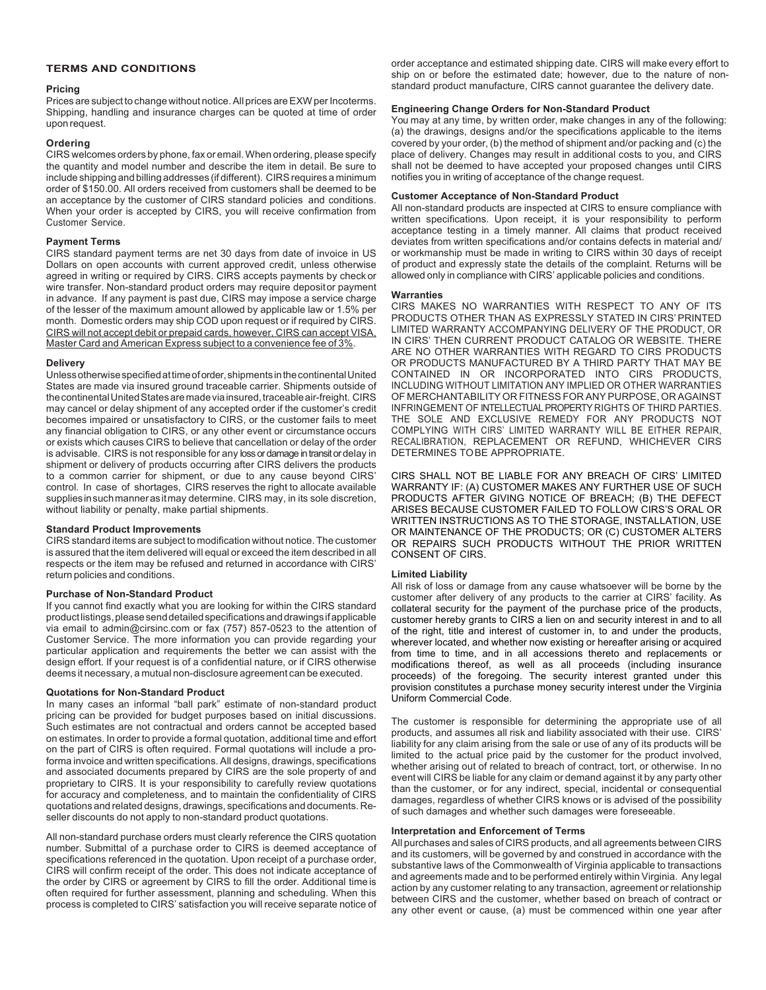# **TERMS AND CONDITIONS**

## **Pricing**

Prices are subject to change without notice. All prices are EXW per Incoterms. Shipping, handling and insurance charges can be quoted at time of order upon request.

# **Ordering**

CIRS welcomes orders by phone, fax or email. When ordering, please specify the quantity and model number and describe the item in detail. Be sure to include shipping and billing addresses (if different). CIRS requires a minimum order of \$150.00. All orders received from customers shall be deemed to be an acceptance by the customer of CIRS standard policies and conditions. When your order is accepted by CIRS, you will receive confirmation from Customer Service.

# **Payment Terms**

CIRS standard payment terms are net 30 days from date of invoice in US Dollars on open accounts with current approved credit, unless otherwise agreed in writing or required by CIRS. CIRS accepts payments by check or wire transfer. Non-standard product orders may require depositor payment in advance. If any payment is past due, CIRS may impose a service charge of the lesser of the maximum amount allowed by applicable law or 1.5% per month. Domestic orders may ship COD upon request or if required by CIRS. CIRS will not accept debit or prepaid cards, however, CIRS can accept VISA, Master Card and American Express subject to a convenience fee of 3%.

# **Delivery**

Unlessotherwisespecifiedattimeoforder,shipmentsinthecontinentalUnited States are made via insured ground traceable carrier. Shipments outside of the continental United States are made via insured, traceable air-freight. CIRS may cancel or delay shipment of any accepted order if the customer's credit becomes impaired or unsatisfactory to CIRS, or the customer fails to meet any financial obligation to CIRS, or any other event or circumstance occurs or exists which causes CIRS to believe that cancellation or delay of the order is advisable. CIRS is not responsible for any loss or damage in transit or delay in shipment or delivery of products occurring after CIRS delivers the products to a common carrier for shipment, or due to any cause beyond CIRS' control. In case of shortages, CIRS reserves the right to allocate available suppliesinsuchmannerasitmay determine. CIRS may, in its sole discretion, without liability or penalty, make partial shipments.

# **Standard Product Improvements**

CIRS standard items are subject to modification without notice. The customer is assured that the item delivered will equal or exceed the item described in all respects or the item may be refused and returned in accordance with CIRS' return policies and conditions.

#### **Purchase of Non-Standard Product**

If you cannot find exactly what you are looking for within the CIRS standard productlistings,pleasesenddetailedspecificationsanddrawingsifapplicable via email to admin@cirsinc.com or fax (757) 857-0523 to the attention of Customer Service. The more information you can provide regarding your particular application and requirements the better we can assist with the design effort. If your request is of a confidential nature, or if CIRS otherwise deems it necessary, a mutual non-disclosure agreement can be executed.

#### **Quotations for Non-Standard Product**

In many cases an informal "ball park" estimate of non-standard product pricing can be provided for budget purposes based on initial discussions. Such estimates are not contractual and orders cannot be accepted based on estimates. In order to provide a formal quotation, additional time and effort on the part of CIRS is often required. Formal quotations will include a proforma invoice and written specifications. All designs, drawings, specifications and associated documents prepared by CIRS are the sole property of and proprietary to CIRS. It is your responsibility to carefully review quotations for accuracy and completeness, and to maintain the confidentiality of CIRS quotations and related designs, drawings, specifications and documents. Reseller discounts do not apply to non-standard product quotations.

All non-standard purchase orders must clearly reference the CIRS quotation number. Submittal of a purchase order to CIRS is deemed acceptance of specifications referenced in the quotation. Upon receipt of a purchase order, CIRS will confirm receipt of the order. This does not indicate acceptance of the order by CIRS or agreement by CIRS to fill the order. Additional timeis often required for further assessment, planning and scheduling. When this process is completed to CIRS' satisfaction you will receive separate notice of

order acceptance and estimated shipping date. CIRS will make every effort to ship on or before the estimated date; however, due to the nature of nonstandard product manufacture, CIRS cannot guarantee the delivery date.

## **Engineering Change Orders for Non-Standard Product**

You may at any time, by written order, make changes in any of the following: (a) the drawings, designs and/or the specifications applicable to the items  $\overline{\text{cover}}$  by your order, (b) the method of shipment and/or packing and (c) the place of delivery. Changes may result in additional costs to you, and CIRS shall not be deemed to have accepted your proposed changes until CIRS notifies you in writing of acceptance of the change request.

## **Customer Acceptance of Non-Standard Product**

All non-standard products are inspected at CIRS to ensure compliance with written specifications. Upon receipt, it is your responsibility to perform acceptance testing in a timely manner. All claims that product received deviates from written specifications and/or contains defects in material and/ or workmanship must be made in writing to CIRS within 30 days of receipt of product and expressly state the details of the complaint. Returns will be allowed only in compliance with CIRS' applicable policies and conditions.

# **Warranties**

CIRS MAKES NO WARRANTIES WITH RESPECT TO ANY OF ITS PRODUCTS OTHER THAN AS EXPRESSLY STATED IN CIRS'PRINTED LIMITED WARRANTY ACCOMPANYING DELIVERY OF THE PRODUCT, OR IN CIRS' THEN CURRENT PRODUCT CATALOG OR WEBSITE. THERE ARE NO OTHER WARRANTIES WITH REGARD TO CIRS PRODUCTS OR PRODUCTS MANUFACTURED BY A THIRD PARTY THAT MAY BE CONTAINED IN OR INCORPORATED INTO CIRS PRODUCTS, INCLUDING WITHOUT LIMITATION ANY IMPLIED OR OTHER WARRANTIES OF MERCHANTABILITY OR FITNESS FOR ANY PURPOSE, OR AGAINST INFRINGEMENT OF INTELLECTUAL PROPERTY RIGHTS OF THIRD PARTIES. THE SOLE AND EXCLUSIVE REMEDY FOR ANY PRODUCTS NOT COMPLYING WITH CIRS' LIMITED WARRANTY WILL BE EITHER REPAIR, RECALIBRATION, REPLACEMENT OR REFUND, WHICHEVER CIRS DETERMINES TOBE APPROPRIATE.

CIRS SHALL NOT BE LIABLE FOR ANY BREACH OF CIRS' LIMITED WARRANTY IF: (A) CUSTOMER MAKES ANY FURTHER USE OF SUCH PRODUCTS AFTER GIVING NOTICE OF BREACH; (B) THE DEFECT ARISES BECAUSE CUSTOMER FAILED TO FOLLOW CIRS'S ORAL OR WRITTEN INSTRUCTIONS AS TO THE STORAGE, INSTALLATION, USE OR MAINTENANCE OF THE PRODUCTS; OR (C) CUSTOMER ALTERS OR REPAIRS SUCH PRODUCTS WITHOUT THE PRIOR WRITTEN CONSENT OF CIRS.

#### **Limited Liability**

All risk of loss or damage from any cause whatsoever will be borne by the customer after delivery of any products to the carrier at CIRS' facility. As collateral security for the payment of the purchase price of the products, customer hereby grants to CIRS a lien on and security interest in and to all of the right, title and interest of customer in, to and under the products, wherever located, and whether now existing or hereafter arising or acquired from time to time, and in all accessions thereto and replacements or modifications thereof, as well as all proceeds (including insurance proceeds) of the foregoing. The security interest granted under this provision constitutes a purchase money security interest under the Virginia Uniform Commercial Code.

The customer is responsible for determining the appropriate use of all products, and assumes all risk and liability associated with their use. CIRS' liability for any claim arising from the sale or use of any of its products will be limited to the actual price paid by the customer for the product involved, whether arising out of related to breach of contract, tort, or otherwise. In no event will CIRS be liable for any claim or demand against it by any party other than the customer, or for any indirect, special, incidental or consequential damages, regardless of whether CIRS knows or is advised of the possibility of such damages and whether such damages were foreseeable.

# **Interpretation and Enforcement of Terms**

All purchases and sales of CIRS products, and all agreements between CIRS and its customers, will be governed by and construed in accordance with the substantive laws of the Commonwealth of Virginia applicable to transactions and agreements made and to be performed entirely within Virginia. Any legal action by any customer relating to any transaction, agreement or relationship between CIRS and the customer, whether based on breach of contract or any other event or cause, (a) must be commenced within one year after